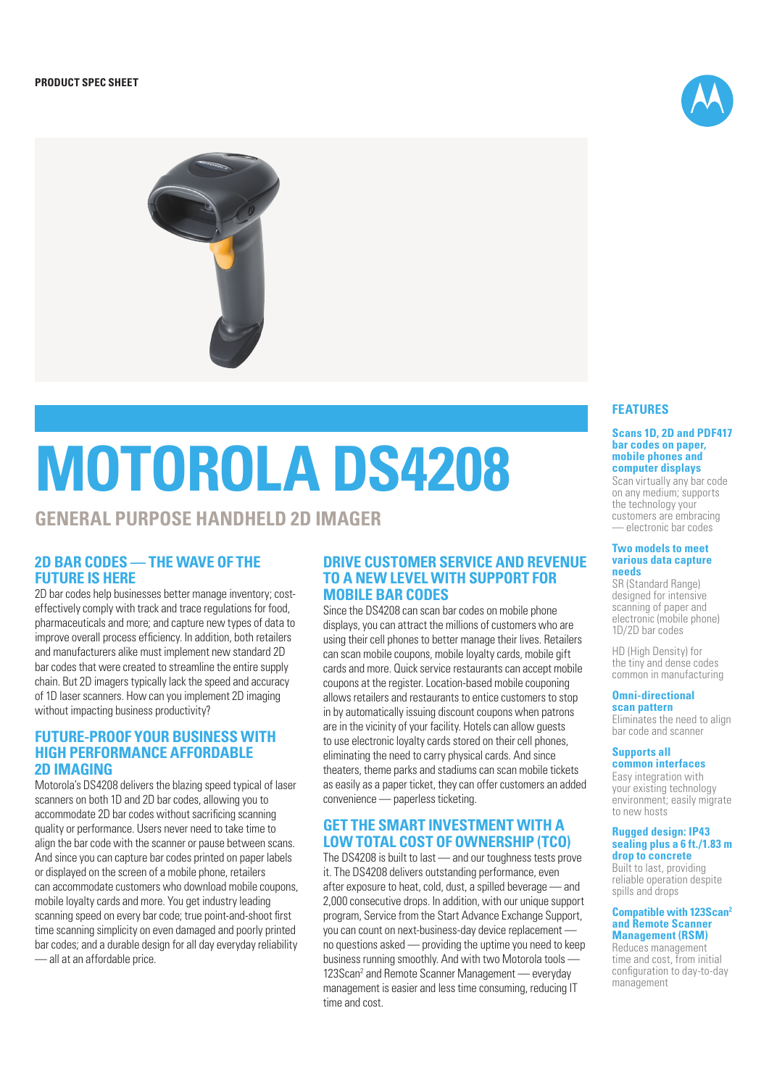

# **MOTOROLA DS4208**

# **GENERAL PURPOSE HANDHELD 2D IMAGER**

# **2D BAR CODES — THE WAVE OF THE FUTURE IS HERE**

2D bar codes help businesses better manage inventory; costeffectively comply with track and trace regulations for food, pharmaceuticals and more; and capture new types of data to improve overall process efficiency. In addition, both retailers and manufacturers alike must implement new standard 2D bar codes that were created to streamline the entire supply chain. But 2D imagers typically lack the speed and accuracy of 1D laser scanners. How can you implement 2D imaging without impacting business productivity?

# **FUTURE-PROOF YOUR BUSINESS WITH HIGH PERFORMANCE AFFORDABLE 2D IMAGING**

Motorola's DS4208 delivers the blazing speed typical of laser scanners on both 1D and 2D bar codes, allowing you to accommodate 2D bar codes without sacrificing scanning quality or performance. Users never need to take time to align the bar code with the scanner or pause between scans. And since you can capture bar codes printed on paper labels or displayed on the screen of a mobile phone, retailers can accommodate customers who download mobile coupons, mobile loyalty cards and more. You get industry leading scanning speed on every bar code; true point-and-shoot first time scanning simplicity on even damaged and poorly printed bar codes; and a durable design for all day everyday reliability — all at an affordable price.

# **DRIVE CUSTOMER SERVICE AND REVENUE TO A NEW LEVEL WITH SUPPORT FOR MOBILE BAR CODES**

Since the DS4208 can scan bar codes on mobile phone displays, you can attract the millions of customers who are using their cell phones to better manage their lives. Retailers can scan mobile coupons, mobile loyalty cards, mobile gift cards and more. Quick service restaurants can accept mobile coupons at the register. Location-based mobile couponing allows retailers and restaurants to entice customers to stop in by automatically issuing discount coupons when patrons are in the vicinity of your facility. Hotels can allow guests to use electronic loyalty cards stored on their cell phones, eliminating the need to carry physical cards. And since theaters, theme parks and stadiums can scan mobile tickets as easily as a paper ticket, they can offer customers an added convenience — paperless ticketing.

# **GET THE SMART INVESTMENT WITH A LOW TOTAL COST OF OWNERSHIP (TCO)**

The DS4208 is built to last — and our toughness tests prove it. The DS4208 delivers outstanding performance, even after exposure to heat, cold, dust, a spilled beverage — and 2,000 consecutive drops. In addition, with our unique support program, Service from the Start Advance Exchange Support, you can count on next-business-day device replacement no questions asked — providing the uptime you need to keep business running smoothly. And with two Motorola tools — 123Scan<sup>2</sup> and Remote Scanner Management — everyday management is easier and less time consuming, reducing IT time and cost.

# **FEATURES**

#### **Scans 1D, 2D and PDF417 bar codes on paper, mobile phones and computer displays**

Scan virtually any bar code on any medium; supports the technology your customers are embracing — electronic bar codes

#### **Two models to meet various data capture needs**

SR (Standard Range) designed for intensive scanning of paper and electronic (mobile phone) 1D/2D bar codes

HD (High Density) for the tiny and dense codes common in manufacturing

#### **Omni-directional scan pattern**

Eliminates the need to align bar code and scanner

## **Supports all**

**common interfaces** Easy integration with your existing technology environment; easily migrate to new hosts

#### **Rugged design: IP43 sealing plus a 6 ft./1.83 m drop to concrete**

Built to last, providing reliable operation despite spills and drops

#### **Compatible with 123Scan2 and Remote Scanner Management (RSM)**

Reduces management time and cost, from initial configuration to day-to-day management